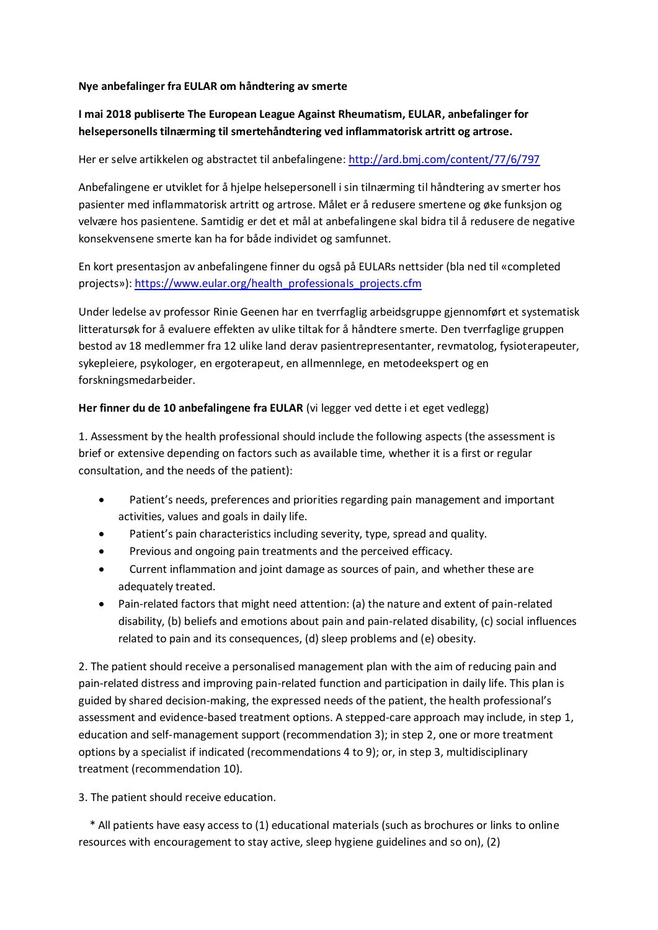## **Nye anbefalinger fra EULAR om håndtering av smerte**

## **I mai 2018 publiserte The European League Against Rheumatism, EULAR, anbefalinger for helsepersonells tilnærming til smertehåndtering ved inflammatorisk artritt og artrose.**

Her er selve artikkelen og abstractet til anbefalingene[: http://ard.bmj.com/content/77/6/797](http://ard.bmj.com/content/77/6/797)

Anbefalingene er utviklet for å hjelpe helsepersonell i sin tilnærming til håndtering av smerter hos pasienter med inflammatorisk artritt og artrose. Målet er å redusere smertene og øke funksjon og velvære hos pasientene. Samtidig er det et mål at anbefalingene skal bidra til å redusere de negative konsekvensene smerte kan ha for både individet og samfunnet.

En kort presentasjon av anbefalingene finner du også på EULARs nettsider (bla ned til «completed projects»)[: https://www.eular.org/health\\_professionals\\_projects.cfm](https://www.eular.org/health_professionals_projects.cfm)

Under ledelse av professor Rinie Geenen har en tverrfaglig arbeidsgruppe gjennomført et systematisk litteratursøk for å evaluere effekten av ulike tiltak for å håndtere smerte. Den tverrfaglige gruppen bestod av 18 medlemmer fra 12 ulike land derav pasientrepresentanter, revmatolog, fysioterapeuter, sykepleiere, psykologer, en ergoterapeut, en allmennlege, en metodeekspert og en forskningsmedarbeider.

## **Her finner du de 10 anbefalingene fra EULAR** (vi legger ved dette i et eget vedlegg)

1. Assessment by the health professional should include the following aspects (the assessment is brief or extensive depending on factors such as available time, whether it is a first or regular consultation, and the needs of the patient):

- Patient's needs, preferences and priorities regarding pain management and important activities, values and goals in daily life.
- Patient's pain characteristics including severity, type, spread and quality.
- Previous and ongoing pain treatments and the perceived efficacy.
- Current inflammation and joint damage as sources of pain, and whether these are adequately treated.
- Pain-related factors that might need attention: (a) the nature and extent of pain-related disability, (b) beliefs and emotions about pain and pain-related disability, (c) social influences related to pain and its consequences, (d) sleep problems and (e) obesity.

2. The patient should receive a personalised management plan with the aim of reducing pain and pain-related distress and improving pain-related function and participation in daily life. This plan is guided by shared decision-making, the expressed needs of the patient, the health professional's assessment and evidence-based treatment options. A stepped-care approach may include, in step 1, education and self-management support (recommendation 3); in step 2, one or more treatment options by a specialist if indicated (recommendations 4 to 9); or, in step 3, multidisciplinary treatment (recommendation 10).

3. The patient should receive education.

\* All patients have easy access to (1) educational materials (such as brochures or links to online resources with encouragement to stay active, sleep hygiene guidelines and so on), (2)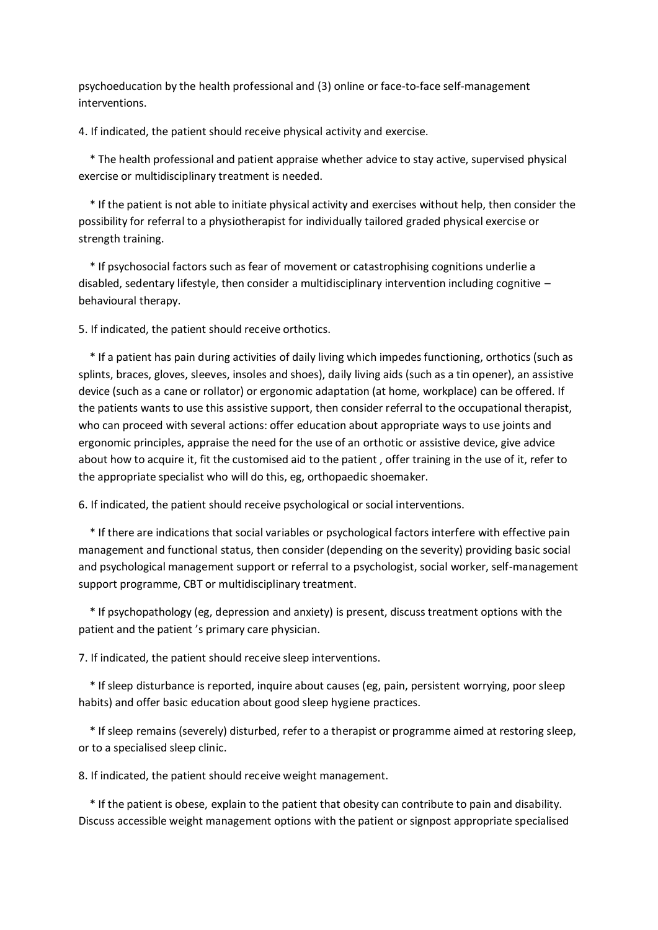psychoeducation by the health professional and (3) online or face-to-face self-management interventions.

4. If indicated, the patient should receive physical activity and exercise.

\* The health professional and patient appraise whether advice to stay active, supervised physical exercise or multidisciplinary treatment is needed.

\* If the patient is not able to initiate physical activity and exercises without help, then consider the possibility for referral to a physiotherapist for individually tailored graded physical exercise or strength training.

\* If psychosocial factors such as fear of movement or catastrophising cognitions underlie a disabled, sedentary lifestyle, then consider a multidisciplinary intervention including cognitive – behavioural therapy.

5. If indicated, the patient should receive orthotics.

\* If a patient has pain during activities of daily living which impedes functioning, orthotics (such as splints, braces, gloves, sleeves, insoles and shoes), daily living aids (such as a tin opener), an assistive device (such as a cane or rollator) or ergonomic adaptation (at home, workplace) can be offered. If the patients wants to use this assistive support, then consider referral to the occupational therapist, who can proceed with several actions: offer education about appropriate ways to use joints and ergonomic principles, appraise the need for the use of an orthotic or assistive device, give advice about how to acquire it, fit the customised aid to the patient , offer training in the use of it, refer to the appropriate specialist who will do this, eg, orthopaedic shoemaker.

6. If indicated, the patient should receive psychological or social interventions.

\* If there are indications that social variables or psychological factors interfere with effective pain management and functional status, then consider (depending on the severity) providing basic social and psychological management support or referral to a psychologist, social worker, self-management support programme, CBT or multidisciplinary treatment.

\* If psychopathology (eg, depression and anxiety) is present, discuss treatment options with the patient and the patient 's primary care physician.

7. If indicated, the patient should receive sleep interventions.

\* If sleep disturbance is reported, inquire about causes (eg, pain, persistent worrying, poor sleep habits) and offer basic education about good sleep hygiene practices.

\* If sleep remains (severely) disturbed, refer to a therapist or programme aimed at restoring sleep, or to a specialised sleep clinic.

8. If indicated, the patient should receive weight management.

\* If the patient is obese, explain to the patient that obesity can contribute to pain and disability. Discuss accessible weight management options with the patient or signpost appropriate specialised